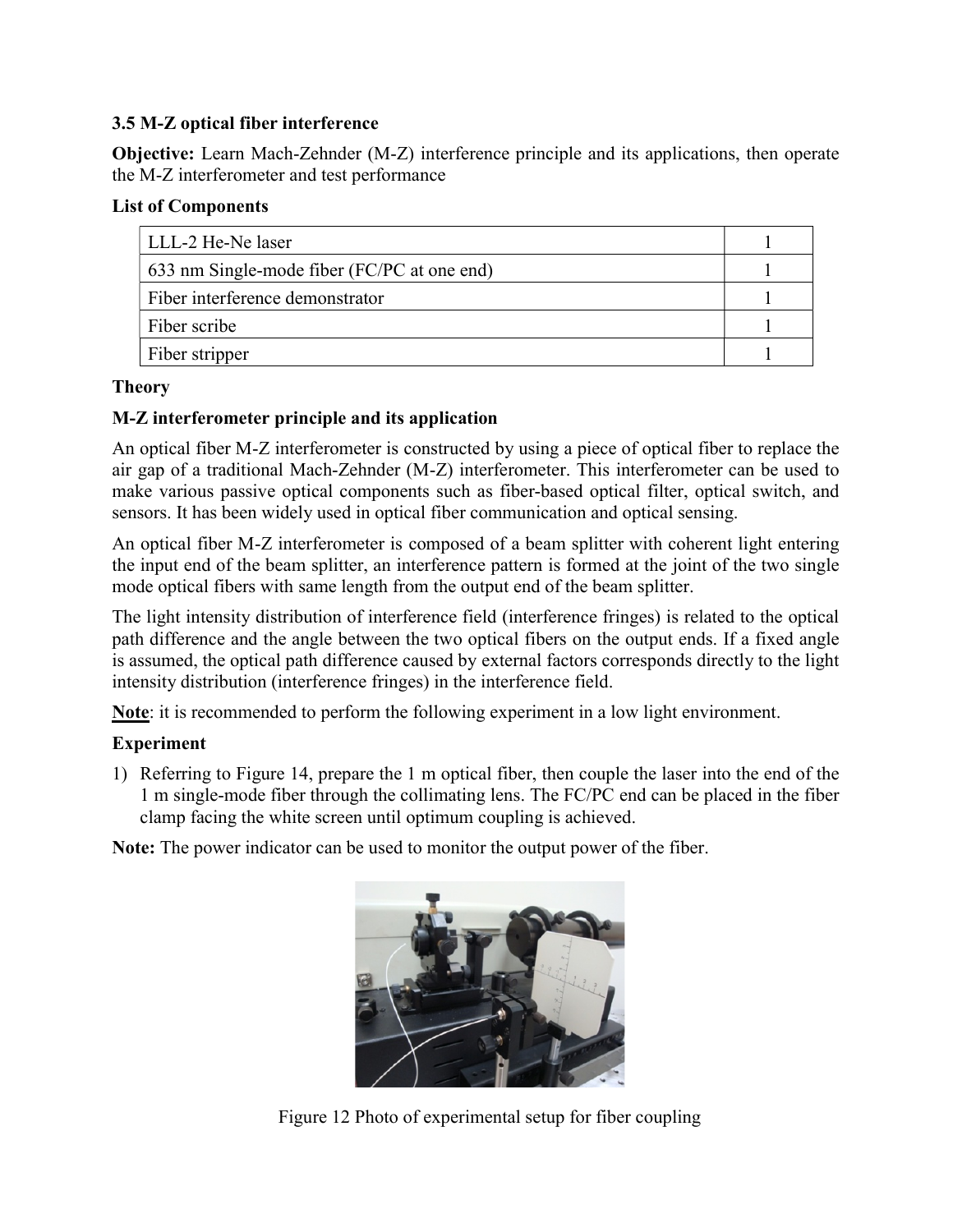## 3.5 M-Z optical fiber interference

Objective: Learn Mach-Zehnder (M-Z) interference principle and its applications, then operate the M-Z interferometer and test performance

## List of Components

| LLL-2 He-Ne laser                           |  |
|---------------------------------------------|--|
| 633 nm Single-mode fiber (FC/PC at one end) |  |
| Fiber interference demonstrator             |  |
| Fiber scribe                                |  |
| Fiber stripper                              |  |

## Theory

# M-Z interferometer principle and its application

An optical fiber M-Z interferometer is constructed by using a piece of optical fiber to replace the air gap of a traditional Mach-Zehnder (M-Z) interferometer. This interferometer can be used to make various passive optical components such as fiber-based optical filter, optical switch, and sensors. It has been widely used in optical fiber communication and optical sensing.

An optical fiber M-Z interferometer is composed of a beam splitter with coherent light entering the input end of the beam splitter, an interference pattern is formed at the joint of the two single mode optical fibers with same length from the output end of the beam splitter.

The light intensity distribution of interference field (interference fringes) is related to the optical path difference and the angle between the two optical fibers on the output ends. If a fixed angle is assumed, the optical path difference caused by external factors corresponds directly to the light intensity distribution (interference fringes) in the interference field.

Note: it is recommended to perform the following experiment in a low light environment.

## Experiment

1) Referring to Figure 14, prepare the 1 m optical fiber, then couple the laser into the end of the 1 m single-mode fiber through the collimating lens. The FC/PC end can be placed in the fiber clamp facing the white screen until optimum coupling is achieved.

Note: The power indicator can be used to monitor the output power of the fiber.



Figure 12 Photo of experimental setup for fiber coupling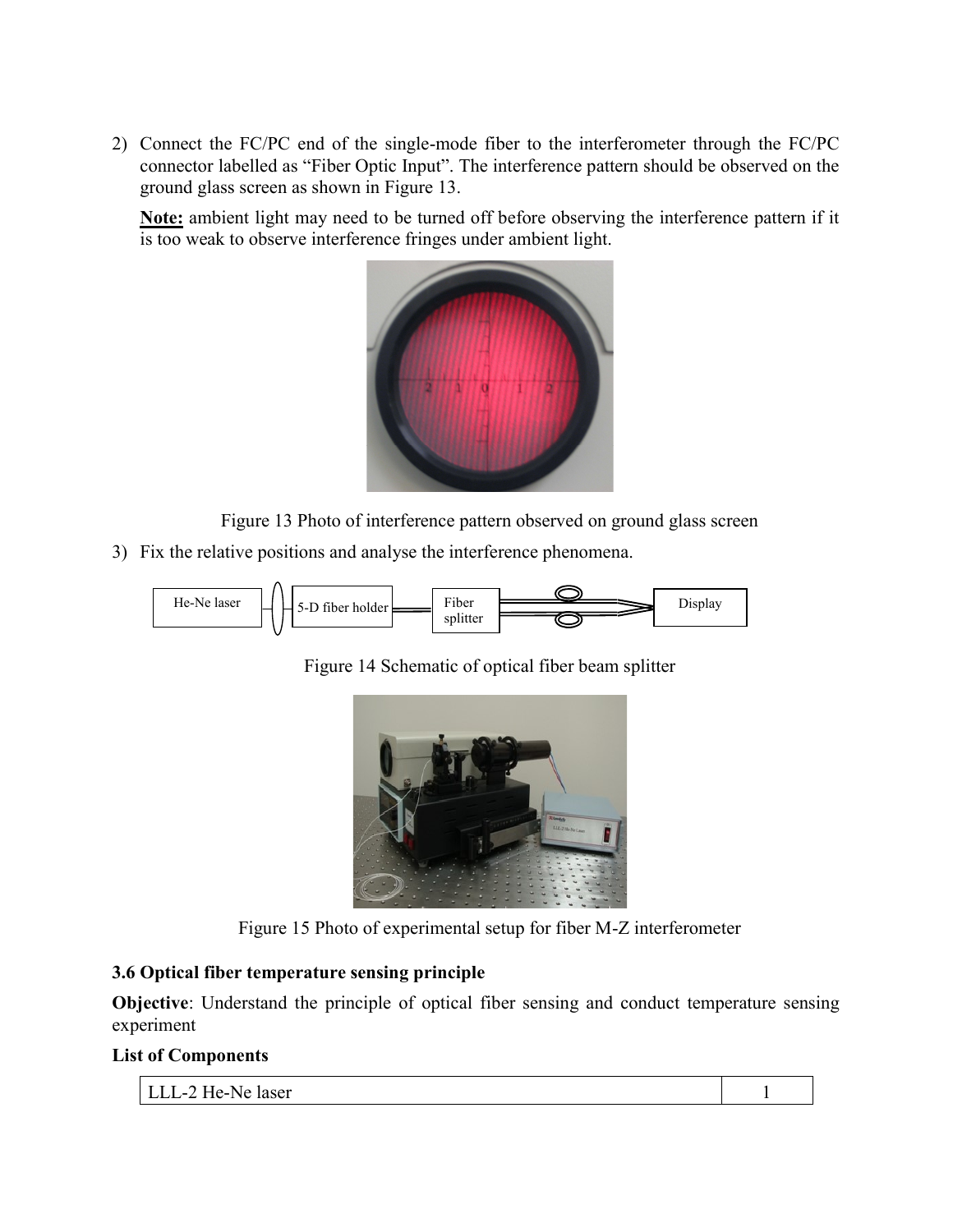2) Connect the FC/PC end of the single-mode fiber to the interferometer through the FC/PC connector labelled as "Fiber Optic Input". The interference pattern should be observed on the ground glass screen as shown in Figure 13.

Note: ambient light may need to be turned off before observing the interference pattern if it is too weak to observe interference fringes under ambient light.



Figure 13 Photo of interference pattern observed on ground glass screen

3) Fix the relative positions and analyse the interference phenomena.



Figure 14 Schematic of optical fiber beam splitter





## 3.6 Optical fiber temperature sensing principle

Objective: Understand the principle of optical fiber sensing and conduct temperature sensing experiment

#### List of Components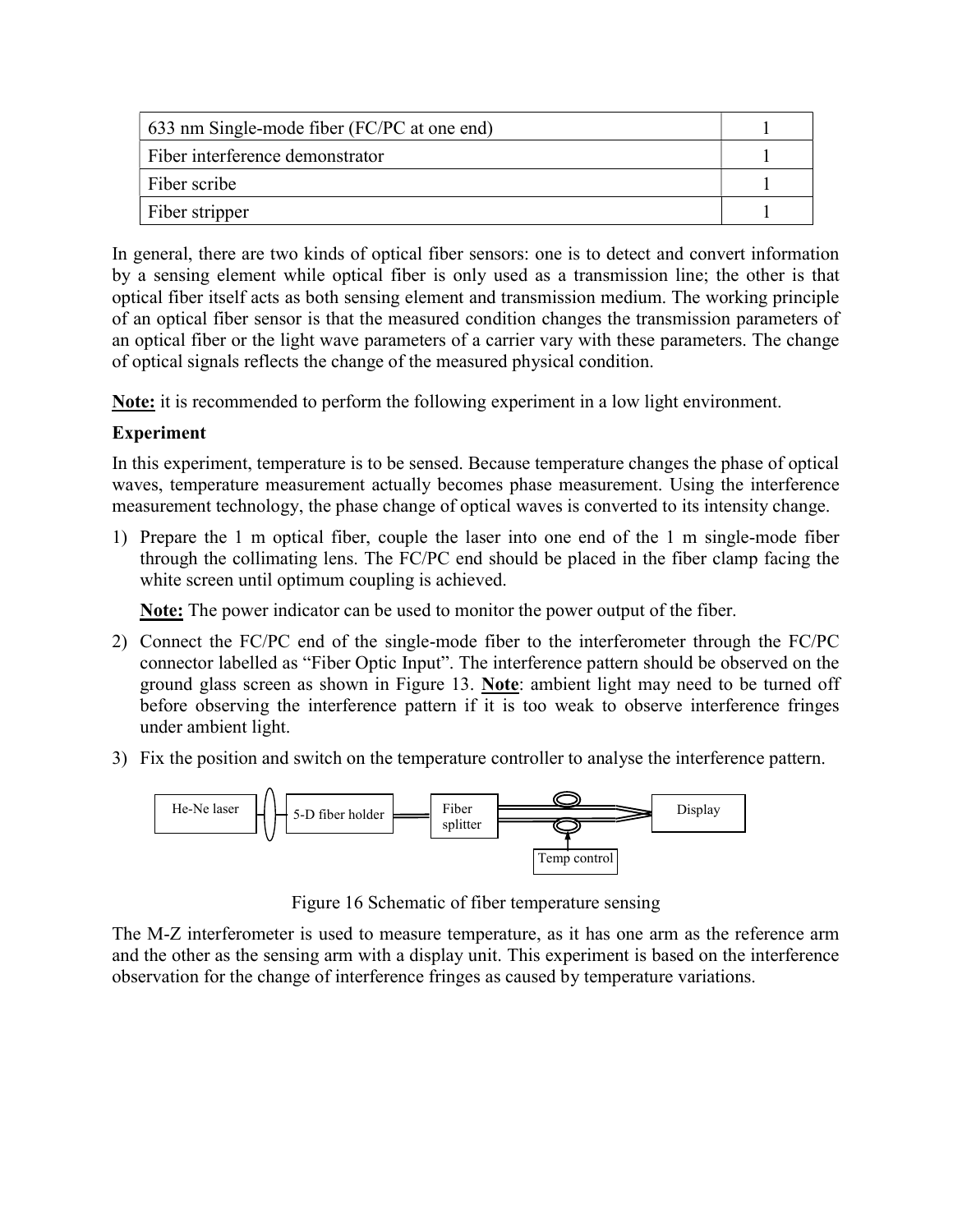| 633 nm Single-mode fiber (FC/PC at one end) |  |
|---------------------------------------------|--|
| Fiber interference demonstrator             |  |
| Fiber scribe                                |  |
| Fiber stripper                              |  |

In general, there are two kinds of optical fiber sensors: one is to detect and convert information by a sensing element while optical fiber is only used as a transmission line; the other is that optical fiber itself acts as both sensing element and transmission medium. The working principle of an optical fiber sensor is that the measured condition changes the transmission parameters of an optical fiber or the light wave parameters of a carrier vary with these parameters. The change of optical signals reflects the change of the measured physical condition.

Note: it is recommended to perform the following experiment in a low light environment.

## Experiment

In this experiment, temperature is to be sensed. Because temperature changes the phase of optical waves, temperature measurement actually becomes phase measurement. Using the interference measurement technology, the phase change of optical waves is converted to its intensity change.

1) Prepare the 1 m optical fiber, couple the laser into one end of the 1 m single-mode fiber through the collimating lens. The FC/PC end should be placed in the fiber clamp facing the white screen until optimum coupling is achieved.

Note: The power indicator can be used to monitor the power output of the fiber.

- 2) Connect the FC/PC end of the single-mode fiber to the interferometer through the FC/PC connector labelled as "Fiber Optic Input". The interference pattern should be observed on the ground glass screen as shown in Figure 13. Note: ambient light may need to be turned off before observing the interference pattern if it is too weak to observe interference fringes under ambient light.
- 3) Fix the position and switch on the temperature controller to analyse the interference pattern.



Figure 16 Schematic of fiber temperature sensing

The M-Z interferometer is used to measure temperature, as it has one arm as the reference arm and the other as the sensing arm with a display unit. This experiment is based on the interference observation for the change of interference fringes as caused by temperature variations.